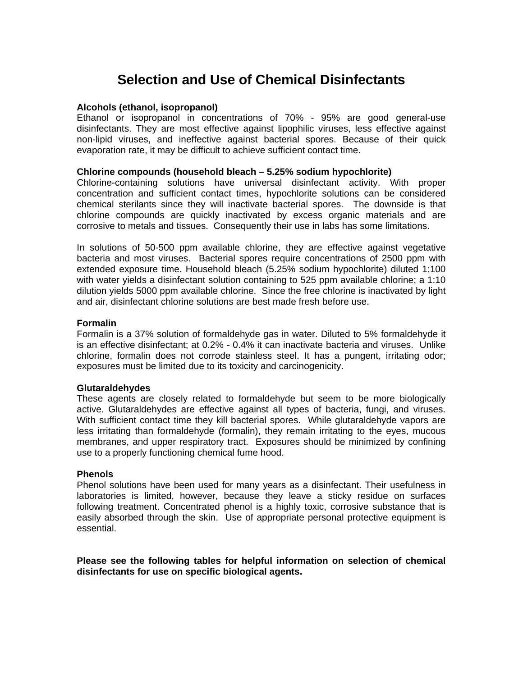## **Selection and Use of Chemical Disinfectants**

### **Alcohols (ethanol, isopropanol)**

Ethanol or isopropanol in concentrations of 70% - 95% are good general-use disinfectants. They are most effective against lipophilic viruses, less effective against non-lipid viruses, and ineffective against bacterial spores. Because of their quick evaporation rate, it may be difficult to achieve sufficient contact time.

#### **Chlorine compounds (household bleach – 5.25% sodium hypochlorite)**

Chlorine-containing solutions have universal disinfectant activity. With proper concentration and sufficient contact times, hypochlorite solutions can be considered chemical sterilants since they will inactivate bacterial spores. The downside is that chlorine compounds are quickly inactivated by excess organic materials and are corrosive to metals and tissues. Consequently their use in labs has some limitations.

In solutions of 50-500 ppm available chlorine, they are effective against vegetative bacteria and most viruses. Bacterial spores require concentrations of 2500 ppm with extended exposure time. Household bleach (5.25% sodium hypochlorite) diluted 1:100 with water yields a disinfectant solution containing to 525 ppm available chlorine; a 1:10 dilution yields 5000 ppm available chlorine. Since the free chlorine is inactivated by light and air, disinfectant chlorine solutions are best made fresh before use.

### **Formalin**

Formalin is a 37% solution of formaldehyde gas in water. Diluted to 5% formaldehyde it is an effective disinfectant; at 0.2% - 0.4% it can inactivate bacteria and viruses. Unlike chlorine, formalin does not corrode stainless steel. It has a pungent, irritating odor; exposures must be limited due to its toxicity and carcinogenicity.

### **Glutaraldehydes**

These agents are closely related to formaldehyde but seem to be more biologically active. Glutaraldehydes are effective against all types of bacteria, fungi, and viruses. With sufficient contact time they kill bacterial spores. While glutaraldehyde vapors are less irritating than formaldehyde (formalin), they remain irritating to the eyes, mucous membranes, and upper respiratory tract. Exposures should be minimized by confining use to a properly functioning chemical fume hood.

### **Phenols**

Phenol solutions have been used for many years as a disinfectant. Their usefulness in laboratories is limited, however, because they leave a sticky residue on surfaces following treatment. Concentrated phenol is a highly toxic, corrosive substance that is easily absorbed through the skin. Use of appropriate personal protective equipment is essential.

**Please see the following tables for helpful information on selection of chemical disinfectants for use on specific biological agents.**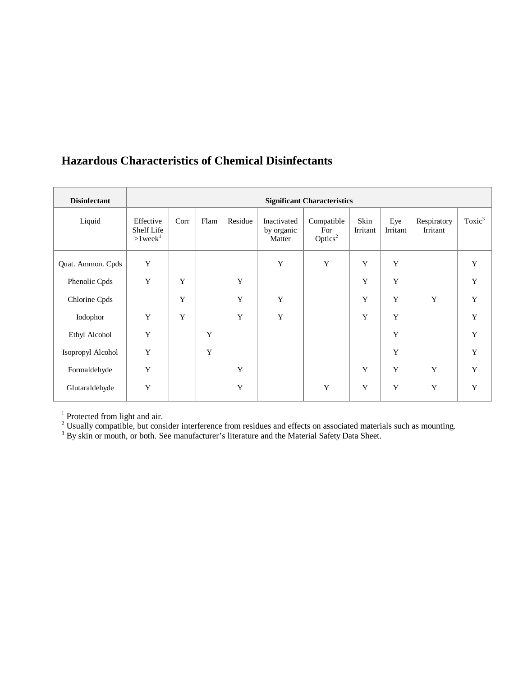### **Hazardous Characteristics of Chemical Disinfectants**

| <b>Disinfectant</b> | <b>Significant Characteristics</b>       |      |      |             |                                     |                                          |                  |                 |                         |             |
|---------------------|------------------------------------------|------|------|-------------|-------------------------------------|------------------------------------------|------------------|-----------------|-------------------------|-------------|
| Liquid              | Effective<br>Shelf Life<br>$>1$ week $1$ | Corr | Flam | Residue     | Inactivated<br>by organic<br>Matter | Compatible<br>For<br>Optics <sup>2</sup> | Skin<br>Irritant | Eye<br>Irritant | Respiratory<br>Irritant | Toxic $3$   |
| Quat. Ammon. Cpds   | Y                                        |      |      |             | Y                                   | Y                                        | Y                | Y               |                         | Y           |
| Phenolic Cpds       | Y                                        | Y    |      | Y           |                                     |                                          | $\mathbf Y$      | Y               |                         | $\mathbf Y$ |
| Chlorine Cpds       |                                          | Y    |      | $\mathbf Y$ | Y                                   |                                          | $\mathbf Y$      | $\mathbf Y$     | $\mathbf Y$             | $\mathbf Y$ |
| Iodophor            | Y                                        | Y    |      | Y           | Y                                   |                                          | Y                | Y               |                         | Y           |
| Ethyl Alcohol       | Y                                        |      | Y    |             |                                     |                                          |                  | Y               |                         | $\mathbf Y$ |
| Isopropyl Alcohol   | Y                                        |      | Y    |             |                                     |                                          |                  | Y               |                         | Y           |
| Formaldehyde        | Y                                        |      |      | Y           |                                     |                                          | $\mathbf Y$      | Y               | Y                       | $\mathbf Y$ |
| Glutaraldehyde      | Y                                        |      |      | Y           |                                     | Y                                        | $\mathbf Y$      | Y               | $\mathbf Y$             | Y           |

<sup>1</sup> Protected from light and air.

 $2$  Usually compatible, but consider interference from residues and effects on associated materials such as mounting.

 $3$  By skin or mouth, or both. See manufacturer's literature and the Material Safety Data Sheet.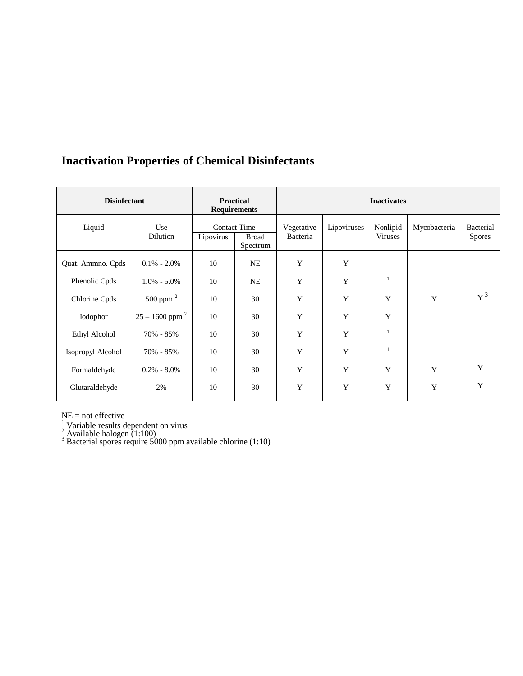# **Inactivation Properties of Chemical Disinfectants**

| <b>Disinfectant</b> | <b>Practical</b><br><b>Requirements</b> |           | <b>Inactivates</b>                              |                        |             |                            |              |                            |  |
|---------------------|-----------------------------------------|-----------|-------------------------------------------------|------------------------|-------------|----------------------------|--------------|----------------------------|--|
| Liquid              | Use<br>Dilution                         | Lipovirus | <b>Contact Time</b><br><b>Broad</b><br>Spectrum | Vegetative<br>Bacteria | Lipoviruses | Nonlipid<br><b>Viruses</b> | Mycobacteria | Bacterial<br><b>Spores</b> |  |
| Quat. Ammno. Cpds   | $0.1\% - 2.0\%$                         | 10        | NE                                              | Y                      | Y           |                            |              |                            |  |
| Phenolic Cpds       | $1.0\% - 5.0\%$                         | 10        | NE                                              | Y                      | Y           | $\mathbf{1}$               |              |                            |  |
| Chlorine Cpds       | 500 ppm $^2$                            | 10        | 30                                              | Y                      | Y           | Y                          | Y            | $\rm Y$ <sup>3</sup>       |  |
| Iodophor            | $25 - 1600$ ppm <sup>2</sup>            | 10        | 30                                              | Y                      | Y           | Y                          |              |                            |  |
| Ethyl Alcohol       | 70% - 85%                               | 10        | 30                                              | Y                      | Y           |                            |              |                            |  |
| Isopropyl Alcohol   | 70% - 85%                               | 10        | 30                                              | Y                      | Y           |                            |              |                            |  |
| Formaldehyde        | $0.2\% - 8.0\%$                         | 10        | 30                                              | Y                      | Y           | Y                          | Y            | $\mathbf Y$                |  |
| Glutaraldehyde      | 2%                                      | 10        | 30                                              | Y                      | Y           | Y                          | Y            | Y                          |  |

NE = not effective<br><sup>1</sup> Variable results dependent on virus<br><sup>2</sup> Available halogen (1:100)<br><sup>3</sup> Bacterial spores require 5000 ppm available chlorine (1:10)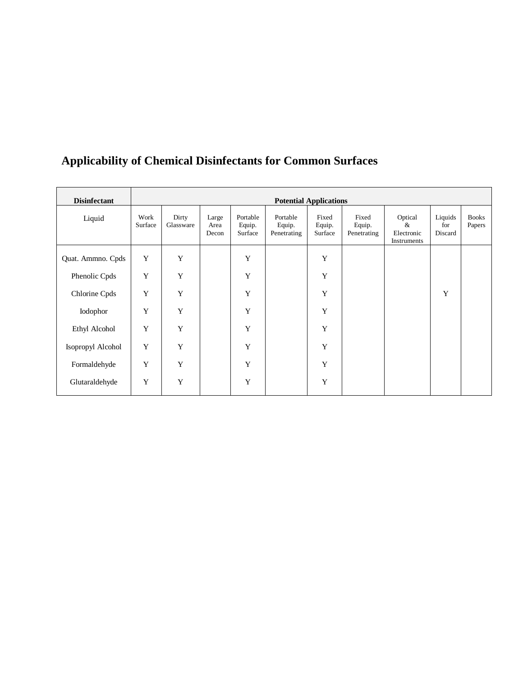| <b>Disinfectant</b> | <b>Potential Applications</b> |                    |                        |                               |                                   |                            |                                |                                                  |                           |                        |
|---------------------|-------------------------------|--------------------|------------------------|-------------------------------|-----------------------------------|----------------------------|--------------------------------|--------------------------------------------------|---------------------------|------------------------|
| Liquid              | Work<br>Surface               | Dirty<br>Glassware | Large<br>Area<br>Decon | Portable<br>Equip.<br>Surface | Portable<br>Equip.<br>Penetrating | Fixed<br>Equip.<br>Surface | Fixed<br>Equip.<br>Penetrating | Optical<br>&<br>Electronic<br><b>Instruments</b> | Liquids<br>for<br>Discard | <b>Books</b><br>Papers |
| Quat. Ammno. Cpds   | Y                             | Y                  |                        | $\mathbf Y$                   |                                   | Y                          |                                |                                                  |                           |                        |
| Phenolic Cpds       | Y                             | Y                  |                        | $\mathbf Y$                   |                                   | Y                          |                                |                                                  |                           |                        |
| Chlorine Cpds       | $\mathbf Y$                   | Y                  |                        | $\mathbf Y$                   |                                   | Y                          |                                |                                                  | $\mathbf Y$               |                        |
| Iodophor            | Y                             | $\mathbf Y$        |                        | $\mathbf Y$                   |                                   | Y                          |                                |                                                  |                           |                        |
| Ethyl Alcohol       | Y                             | Y                  |                        | Y                             |                                   | Y                          |                                |                                                  |                           |                        |
| Isopropyl Alcohol   | Y                             | Y                  |                        | Y                             |                                   | Y                          |                                |                                                  |                           |                        |
| Formaldehyde        | Y                             | Y                  |                        | Y                             |                                   | Y                          |                                |                                                  |                           |                        |
| Glutaraldehyde      | Y                             | Y                  |                        | Y                             |                                   | Y                          |                                |                                                  |                           |                        |

# **Applicability of Chemical Disinfectants for Common Surfaces**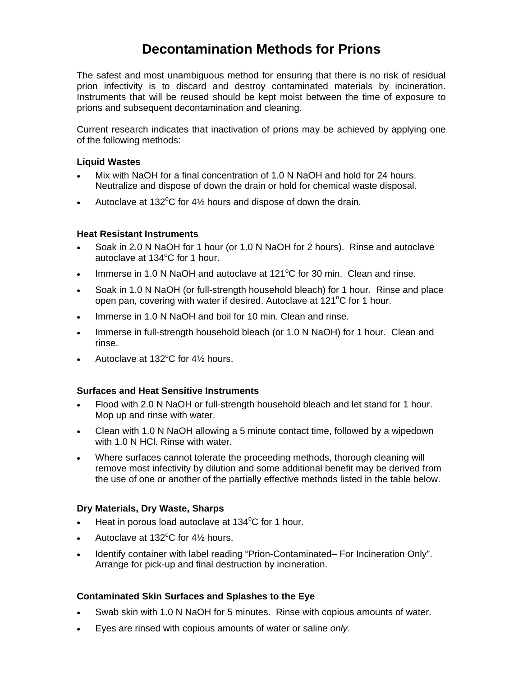## **Decontamination Methods for Prions**

The safest and most unambiguous method for ensuring that there is no risk of residual prion infectivity is to discard and destroy contaminated materials by incineration. Instruments that will be reused should be kept moist between the time of exposure to prions and subsequent decontamination and cleaning.

Current research indicates that inactivation of prions may be achieved by applying one of the following methods:

### **Liquid Wastes**

- Mix with NaOH for a final concentration of 1.0 N NaOH and hold for 24 hours. Neutralize and dispose of down the drain or hold for chemical waste disposal.
- Autoclave at 132 $^{\circ}$ C for 4 $\frac{1}{2}$  hours and dispose of down the drain.

### **Heat Resistant Instruments**

- Soak in 2.0 N NaOH for 1 hour (or 1.0 N NaOH for 2 hours). Rinse and autoclave autoclave at 134°C for 1 hour.
- Immerse in 1.0 N NaOH and autoclave at  $121^{\circ}$ C for 30 min. Clean and rinse.
- Soak in 1.0 N NaOH (or full-strength household bleach) for 1 hour. Rinse and place open pan, covering with water if desired. Autoclave at 121°C for 1 hour.
- Immerse in 1.0 N NaOH and boil for 10 min. Clean and rinse.
- Immerse in full-strength household bleach (or 1.0 N NaOH) for 1 hour. Clean and rinse.
- Autoclave at 132 $^{\circ}$ C for 4 $\frac{1}{2}$  hours.

### **Surfaces and Heat Sensitive Instruments**

- Flood with 2.0 N NaOH or full-strength household bleach and let stand for 1 hour. Mop up and rinse with water.
- Clean with 1.0 N NaOH allowing a 5 minute contact time, followed by a wipedown with 1.0 N HCl. Rinse with water.
- Where surfaces cannot tolerate the proceeding methods, thorough cleaning will remove most infectivity by dilution and some additional benefit may be derived from the use of one or another of the partially effective methods listed in the table below.

### **Dry Materials, Dry Waste, Sharps**

- Heat in porous load autoclave at 134°C for 1 hour.
- Autoclave at  $132^{\circ}$ C for  $4\frac{1}{2}$  hours.
- Identify container with label reading "Prion-Contaminated– For Incineration Only". Arrange for pick-up and final destruction by incineration.

### **Contaminated Skin Surfaces and Splashes to the Eye**

- Swab skin with 1.0 N NaOH for 5 minutes. Rinse with copious amounts of water.
- Eyes are rinsed with copious amounts of water or saline *only*.